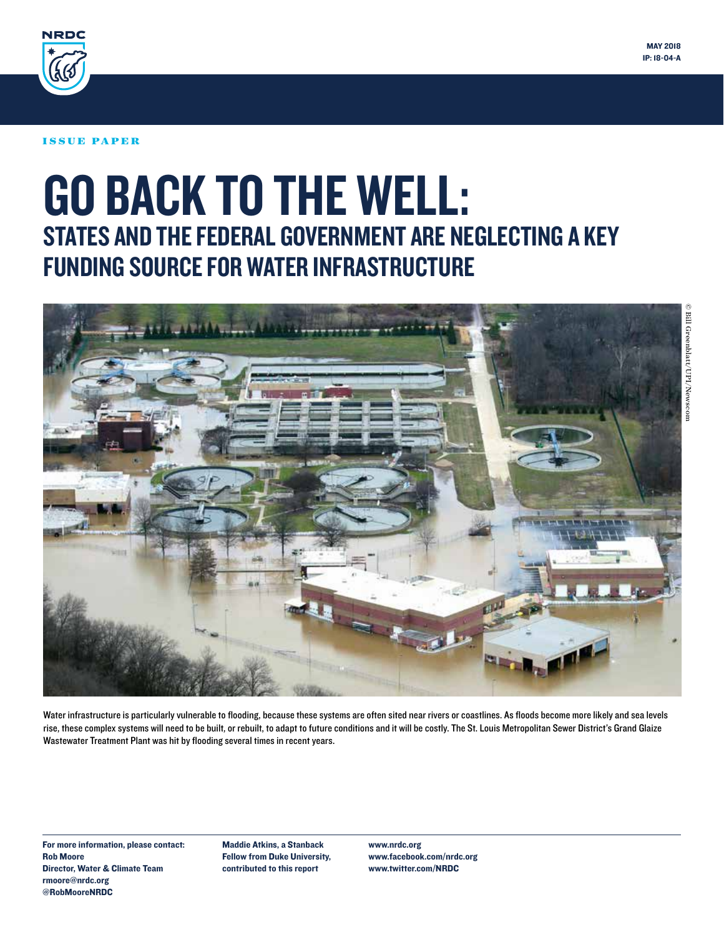



#### ISSUE PAPER

# GO BACK TO THE WELL: STATES AND THE FEDERAL GOVERNMENT ARE NEGLECTING A KEY FUNDING SOURCE FOR WATER INFRASTRUCTURE



Water infrastructure is particularly vulnerable to flooding, because these systems are often sited near rivers or coastlines. As floods become more likely and sea levels rise, these complex systems will need to be built, or rebuilt, to adapt to future conditions and it will be costly. The St. Louis Metropolitan Sewer District's Grand Glaize Wastewater Treatment Plant was hit by flooding several times in recent years.

For more information, please contact: Rob Moore Director, Water & Climate Team rmoore@nrdc.org @RobMooreNRDC

Maddie Atkins, a Stanback Fellow from Duke University, contributed to this report

www.nrdc.org www.facebook.com/nrdc.org www.twitter.com/NRDC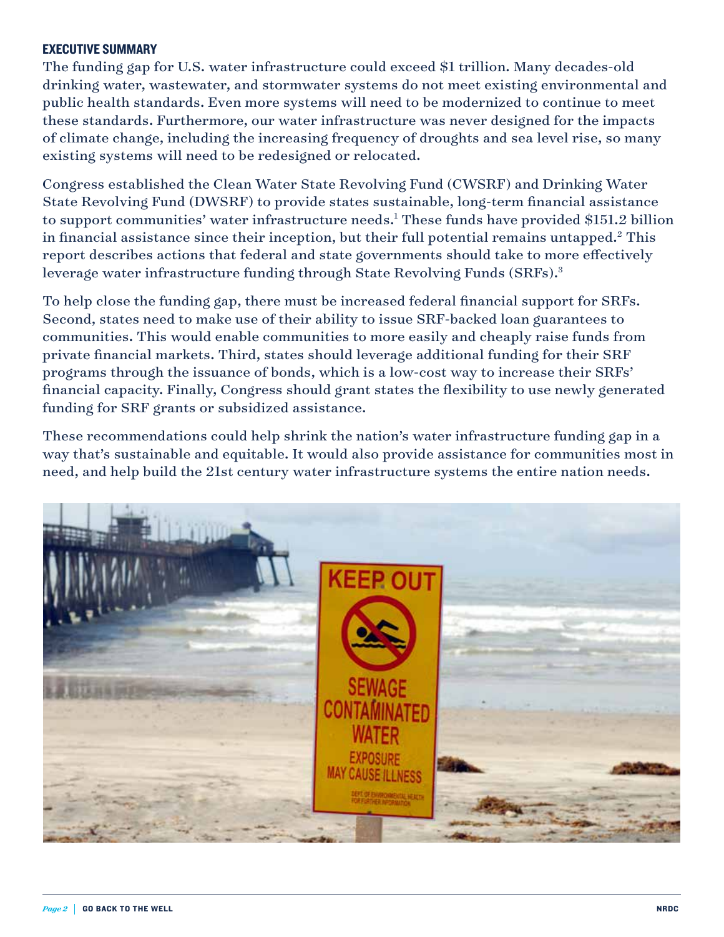## EXECUTIVE SUMMARY

The funding gap for U.S. water infrastructure could exceed \$1 trillion. Many decades-old drinking water, wastewater, and stormwater systems do not meet existing environmental and public health standards. Even more systems will need to be modernized to continue to meet these standards. Furthermore, our water infrastructure was never designed for the impacts of climate change, including the increasing frequency of droughts and sea level rise, so many existing systems will need to be redesigned or relocated.

Congress established the Clean Water State Revolving Fund (CWSRF) and Drinking Water State Revolving Fund (DWSRF) to provide states sustainable, long-term financial assistance to support communities' water infrastructure needs.<sup>1</sup> These funds have provided \$151.2 billion in financial assistance since their inception, but their full potential remains untapped.2 This report describes actions that federal and state governments should take to more effectively leverage water infrastructure funding through State Revolving Funds (SRFs).<sup>3</sup>

To help close the funding gap, there must be increased federal financial support for SRFs. Second, states need to make use of their ability to issue SRF-backed loan guarantees to communities. This would enable communities to more easily and cheaply raise funds from private financial markets. Third, states should leverage additional funding for their SRF programs through the issuance of bonds, which is a low-cost way to increase their SRFs' financial capacity. Finally, Congress should grant states the flexibility to use newly generated funding for SRF grants or subsidized assistance.

These recommendations could help shrink the nation's water infrastructure funding gap in a way that's sustainable and equitable. It would also provide assistance for communities most in need, and help build the 21st century water infrastructure systems the entire nation needs.

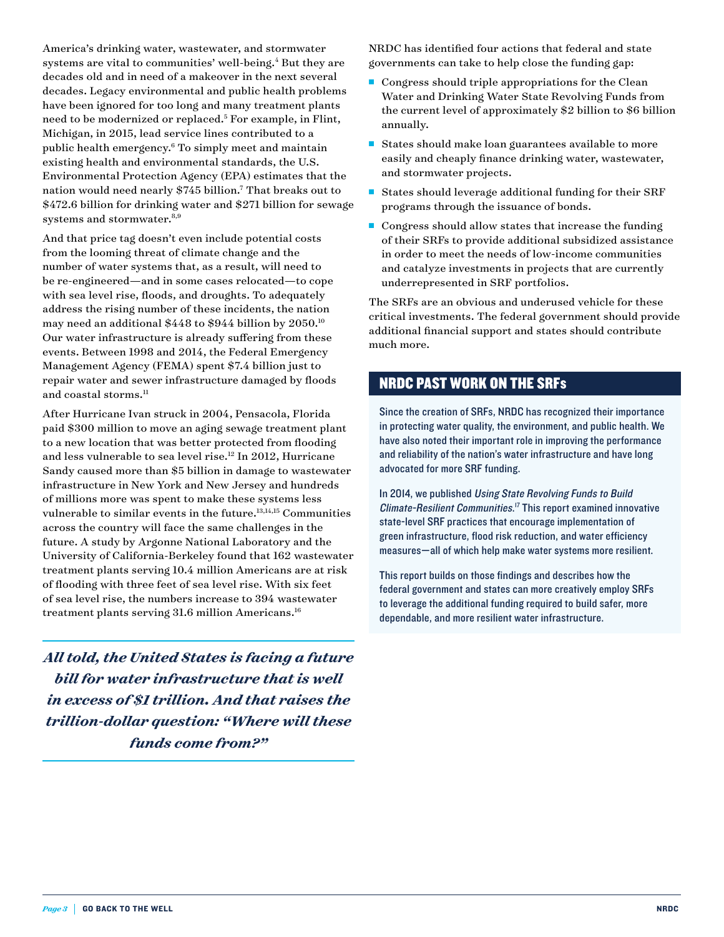America's drinking water, wastewater, and stormwater systems are vital to communities' well-being.<sup>4</sup> But they are decades old and in need of a makeover in the next several decades. Legacy environmental and public health problems have been ignored for too long and many treatment plants need to be modernized or replaced.5 For example, in Flint, Michigan, in 2015, lead service lines contributed to a public health emergency.6 To simply meet and maintain existing health and environmental standards, the U.S. Environmental Protection Agency (EPA) estimates that the nation would need nearly \$745 billion.7 That breaks out to \$472.6 billion for drinking water and \$271 billion for sewage systems and stormwater.<sup>8,9</sup>

And that price tag doesn't even include potential costs from the looming threat of climate change and the number of water systems that, as a result, will need to be re-engineered—and in some cases relocated—to cope with sea level rise, floods, and droughts. To adequately address the rising number of these incidents, the nation may need an additional \$448 to \$944 billion by 2050.10 Our water infrastructure is already suffering from these events. Between 1998 and 2014, the Federal Emergency Management Agency (FEMA) spent \$7.4 billion just to repair water and sewer infrastructure damaged by floods and coastal storms.<sup>11</sup>

After Hurricane Ivan struck in 2004, Pensacola, Florida paid \$300 million to move an aging sewage treatment plant to a new location that was better protected from flooding and less vulnerable to sea level rise.12 In 2012, Hurricane Sandy caused more than \$5 billion in damage to wastewater infrastructure in New York and New Jersey and hundreds of millions more was spent to make these systems less vulnerable to similar events in the future.13,14,15 Communities across the country will face the same challenges in the future. A study by Argonne National Laboratory and the University of California-Berkeley found that 162 wastewater treatment plants serving 10.4 million Americans are at risk of flooding with three feet of sea level rise. With six feet of sea level rise, the numbers increase to 394 wastewater treatment plants serving 31.6 million Americans.<sup>16</sup>

*All told, the United States is facing a future bill for water infrastructure that is well in excess of \$1 trillion. And that raises the trillion-dollar question: "Where will these funds come from?"* 

NRDC has identified four actions that federal and state governments can take to help close the funding gap:

- $\blacksquare$  Congress should triple appropriations for the Clean Water and Drinking Water State Revolving Funds from the current level of approximately \$2 billion to \$6 billion annually.
- $\blacksquare$  States should make loan guarantees available to more easily and cheaply finance drinking water, wastewater, and stormwater projects.
- States should leverage additional funding for their SRF programs through the issuance of bonds.
- $\blacksquare$  Congress should allow states that increase the funding of their SRFs to provide additional subsidized assistance in order to meet the needs of low-income communities and catalyze investments in projects that are currently underrepresented in SRF portfolios.

The SRFs are an obvious and underused vehicle for these critical investments. The federal government should provide additional financial support and states should contribute much more.

## NRDC PAST WORK ON THE SRFs

Since the creation of SRFs, NRDC has recognized their importance in protecting water quality, the environment, and public health. We have also noted their important role in improving the performance and reliability of the nation's water infrastructure and have long advocated for more SRF funding.

In 2014, we published Using State Revolving Funds to Build Climate-Resilient Communities.<sup>17</sup> This report examined innovative state-level SRF practices that encourage implementation of green infrastructure, flood risk reduction, and water efficiency measures—all of which help make water systems more resilient.

This report builds on those findings and describes how the federal government and states can more creatively employ SRFs to leverage the additional funding required to build safer, more dependable, and more resilient water infrastructure.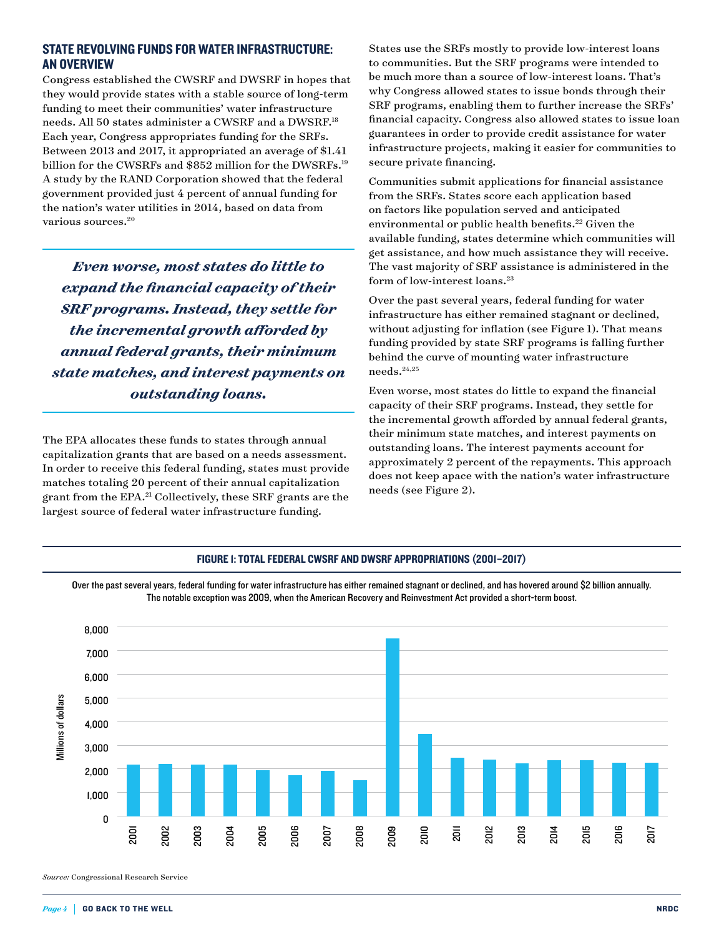## STATE REVOLVING FUNDS FOR WATER INFRASTRUCTURE: AN OVERVIEW

Congress established the CWSRF and DWSRF in hopes that they would provide states with a stable source of long-term funding to meet their communities' water infrastructure needs. All 50 states administer a CWSRF and a DWSRF.18 Each year, Congress appropriates funding for the SRFs. Between 2013 and 2017, it appropriated an average of \$1.41 billion for the CWSRFs and \$852 million for the DWSRFs.<sup>19</sup> A study by the RAND Corporation showed that the federal government provided just 4 percent of annual funding for the nation's water utilities in 2014, based on data from various sources.20

*Even worse, most states do little to expand the financial capacity of their SRF programs. Instead, they settle for the incremental growth afforded by annual federal grants, their minimum state matches, and interest payments on outstanding loans.*

The EPA allocates these funds to states through annual capitalization grants that are based on a needs assessment. In order to receive this federal funding, states must provide matches totaling 20 percent of their annual capitalization grant from the EPA.<sup>21</sup> Collectively, these SRF grants are the largest source of federal water infrastructure funding.

States use the SRFs mostly to provide low-interest loans to communities. But the SRF programs were intended to be much more than a source of low-interest loans. That's why Congress allowed states to issue bonds through their SRF programs, enabling them to further increase the SRFs' financial capacity. Congress also allowed states to issue loan guarantees in order to provide credit assistance for water infrastructure projects, making it easier for communities to secure private financing.

Communities submit applications for financial assistance from the SRFs. States score each application based on factors like population served and anticipated environmental or public health benefits.<sup>22</sup> Given the available funding, states determine which communities will get assistance, and how much assistance they will receive. The vast majority of SRF assistance is administered in the form of low-interest loans.<sup>23</sup>

Over the past several years, federal funding for water infrastructure has either remained stagnant or declined, without adjusting for inflation (see Figure 1). That means funding provided by state SRF programs is falling further behind the curve of mounting water infrastructure needs.24,25

Even worse, most states do little to expand the financial capacity of their SRF programs. Instead, they settle for the incremental growth afforded by annual federal grants, their minimum state matches, and interest payments on outstanding loans. The interest payments account for approximately 2 percent of the repayments. This approach does not keep apace with the nation's water infrastructure needs (see Figure 2).



FIGURE 1: TOTAL FEDERAL CWSRF AND DWSRF APPROPRIATIONS (2001–2017)

 $Page\,4$  GO BACK TO THE WELL NRDC NAMEL NAMEL NAMEL NAMEL NAMEL NAMEL NAMEL NAMEL NAMEL NAMEL NAMEL NAMEL NAMEL NAMEL NAMEL NAMEL NAMEL NAMEL NAMEL NAMEL NAMEL NAMEL NAMEL NAMEL NAMEL NAMEL NAMEL NAMEL NAMEL NAMEL NAMEL NAM

*Source:* Congressional Research Service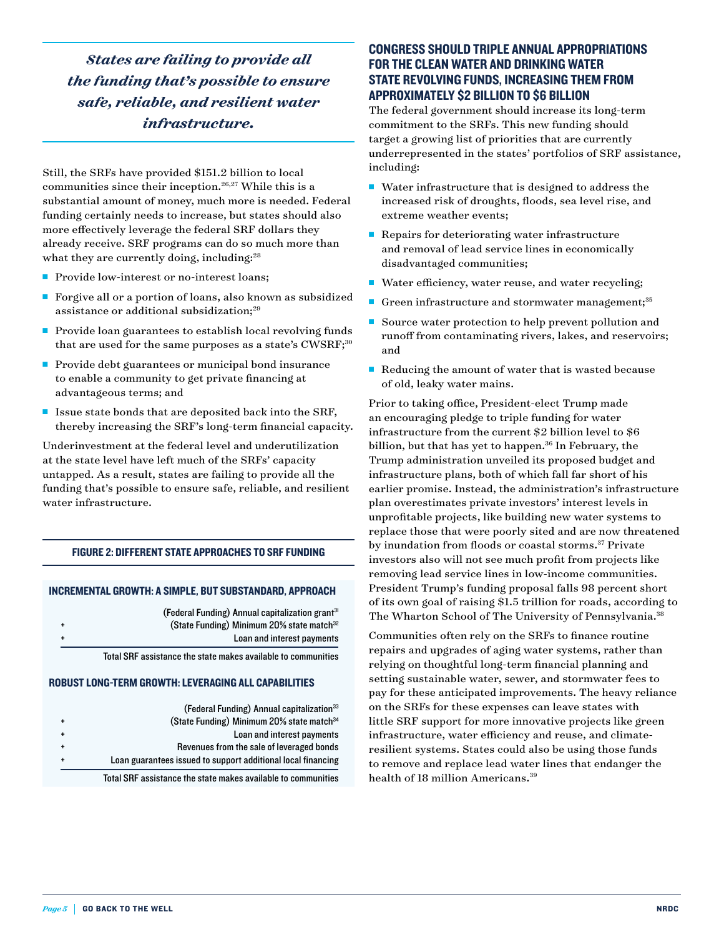*States are failing to provide all the funding that's possible to ensure safe, reliable, and resilient water infrastructure.*

Still, the SRFs have provided \$151.2 billion to local communities since their inception.26,27 While this is a substantial amount of money, much more is needed. Federal funding certainly needs to increase, but states should also more effectively leverage the federal SRF dollars they already receive. SRF programs can do so much more than what they are currently doing, including:<sup>28</sup>

- Provide low-interest or no-interest loans;
- Forgive all or a portion of loans, also known as subsidized assistance or additional subsidization;<sup>29</sup>
- Provide loan guarantees to establish local revolving funds that are used for the same purposes as a state's CWSRF;<sup>30</sup>
- Provide debt guarantees or municipal bond insurance to enable a community to get private financing at advantageous terms; and
- **n** Issue state bonds that are deposited back into the SRF, thereby increasing the SRF's long-term financial capacity.

Underinvestment at the federal level and underutilization at the state level have left much of the SRFs' capacity untapped. As a result, states are failing to provide all the funding that's possible to ensure safe, reliable, and resilient water infrastructure.

#### FIGURE 2: DIFFERENT STATE APPROACHES TO SRF FUNDING

#### INCREMENTAL GROWTH: A SIMPLE, BUT SUBSTANDARD, APPROACH

|  | (Federal Funding) Annual capitalization grant <sup>31</sup> |
|--|-------------------------------------------------------------|
|  | (State Funding) Minimum 20% state match <sup>32</sup>       |
|  | Loan and interest payments                                  |

Total SRF assistance the state makes available to communities

#### ROBUST LONG-TERM GROWTH: LEVERAGING ALL CAPABILITIES

| (Federal Funding) Annual capitalization <sup>33</sup>        |
|--------------------------------------------------------------|
| (State Funding) Minimum 20% state match <sup>34</sup>        |
| Loan and interest payments                                   |
| Revenues from the sale of leveraged bonds                    |
| Loan guarantees issued to support additional local financing |
|                                                              |

Total SRF assistance the state makes available to communities

## CONGRESS SHOULD TRIPLE ANNUAL APPROPRIATIONS FOR THE CLEAN WATER AND DRINKING WATER STATE REVOLVING FUNDS, INCREASING THEM FROM APPROXIMATELY \$2 BILLION TO \$6 BILLION

The federal government should increase its long-term commitment to the SRFs. This new funding should target a growing list of priorities that are currently underrepresented in the states' portfolios of SRF assistance, including:

- $\blacksquare$  Water infrastructure that is designed to address the increased risk of droughts, floods, sea level rise, and extreme weather events;
- Repairs for deteriorating water infrastructure and removal of lead service lines in economically disadvantaged communities;
- Water efficiency, water reuse, and water recycling;
- Green infrastructure and stormwater management;<sup>35</sup>
- Source water protection to help prevent pollution and runoff from contaminating rivers, lakes, and reservoirs; and
- $\blacksquare$  Reducing the amount of water that is wasted because of old, leaky water mains.

Prior to taking office, President-elect Trump made an encouraging pledge to triple funding for water infrastructure from the current \$2 billion level to \$6 billion, but that has yet to happen.<sup>36</sup> In February, the Trump administration unveiled its proposed budget and infrastructure plans, both of which fall far short of his earlier promise. Instead, the administration's infrastructure plan overestimates private investors' interest levels in unprofitable projects, like building new water systems to replace those that were poorly sited and are now threatened by inundation from floods or coastal storms.<sup>37</sup> Private investors also will not see much profit from projects like removing lead service lines in low-income communities. President Trump's funding proposal falls 98 percent short of its own goal of raising \$1.5 trillion for roads, according to The Wharton School of The University of Pennsylvania.<sup>38</sup>

Communities often rely on the SRFs to finance routine repairs and upgrades of aging water systems, rather than relying on thoughtful long-term financial planning and setting sustainable water, sewer, and stormwater fees to pay for these anticipated improvements. The heavy reliance on the SRFs for these expenses can leave states with little SRF support for more innovative projects like green infrastructure, water efficiency and reuse, and climateresilient systems. States could also be using those funds to remove and replace lead water lines that endanger the health of 18 million Americans.<sup>39</sup>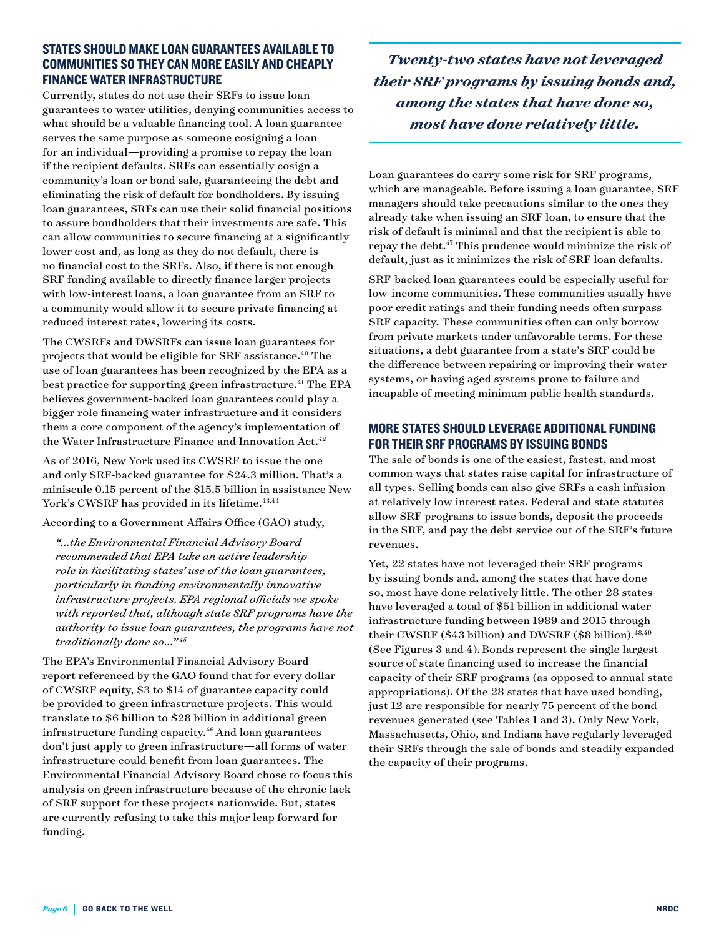## STATES SHOULD MAKE LOAN GUARANTEES AVAILABLE TO COMMUNITIES SO THEY CAN MORE EASILY AND CHEAPLY FINANCE WATER INFRASTRUCTURE

Currently, states do not use their SRFs to issue loan guarantees to water utilities, denying communities access to what should be a valuable financing tool. A loan guarantee serves the same purpose as someone cosigning a loan for an individual—providing a promise to repay the loan if the recipient defaults. SRFs can essentially cosign a community's loan or bond sale, guaranteeing the debt and eliminating the risk of default for bondholders. By issuing loan guarantees, SRFs can use their solid financial positions to assure bondholders that their investments are safe. This can allow communities to secure financing at a significantly lower cost and, as long as they do not default, there is no financial cost to the SRFs. Also, if there is not enough SRF funding available to directly finance larger projects with low-interest loans, a loan guarantee from an SRF to a community would allow it to secure private financing at reduced interest rates, lowering its costs.

The CWSRFs and DWSRFs can issue loan guarantees for projects that would be eligible for SRF assistance.40 The use of loan guarantees has been recognized by the EPA as a best practice for supporting green infrastructure.<sup>41</sup> The EPA believes government-backed loan guarantees could play a bigger role financing water infrastructure and it considers them a core component of the agency's implementation of the Water Infrastructure Finance and Innovation Act.<sup>42</sup>

As of 2016, New York used its CWSRF to issue the one and only SRF-backed guarantee for \$24.3 million. That's a miniscule 0.15 percent of the \$15.5 billion in assistance New York's CWSRF has provided in its lifetime.<sup>43,44</sup>

According to a Government Affairs Office (GAO) study,

 *"…the Environmental Financial Advisory Board recommended that EPA take an active leadership role in facilitating states' use of the loan guarantees, particularly in funding environmentally innovative infrastructure projects. EPA regional officials we spoke with reported that, although state SRF programs have the authority to issue loan guarantees, the programs have not traditionally done so…" <sup>45</sup>*

The EPA's Environmental Financial Advisory Board report referenced by the GAO found that for every dollar of CWSRF equity, \$3 to \$14 of guarantee capacity could be provided to green infrastructure projects. This would translate to \$6 billion to \$28 billion in additional green infrastructure funding capacity.<sup>46</sup> And loan guarantees don't just apply to green infrastructure—all forms of water infrastructure could benefit from loan guarantees. The Environmental Financial Advisory Board chose to focus this analysis on green infrastructure because of the chronic lack of SRF support for these projects nationwide. But, states are currently refusing to take this major leap forward for funding.

*Twenty-two states have not leveraged their SRF programs by issuing bonds and, among the states that have done so, most have done relatively little.*

Loan guarantees do carry some risk for SRF programs, which are manageable. Before issuing a loan guarantee, SRF managers should take precautions similar to the ones they already take when issuing an SRF loan, to ensure that the risk of default is minimal and that the recipient is able to repay the debt.47 This prudence would minimize the risk of default, just as it minimizes the risk of SRF loan defaults.

SRF-backed loan guarantees could be especially useful for low-income communities. These communities usually have poor credit ratings and their funding needs often surpass SRF capacity. These communities often can only borrow from private markets under unfavorable terms. For these situations, a debt guarantee from a state's SRF could be the difference between repairing or improving their water systems, or having aged systems prone to failure and incapable of meeting minimum public health standards.

## MORE STATES SHOULD LEVERAGE ADDITIONAL FUNDING FOR THEIR SRF PROGRAMS BY ISSUING BONDS

The sale of bonds is one of the easiest, fastest, and most common ways that states raise capital for infrastructure of all types. Selling bonds can also give SRFs a cash infusion at relatively low interest rates. Federal and state statutes allow SRF programs to issue bonds, deposit the proceeds in the SRF, and pay the debt service out of the SRF's future revenues.

Yet, 22 states have not leveraged their SRF programs by issuing bonds and, among the states that have done so, most have done relatively little. The other 28 states have leveraged a total of \$51 billion in additional water infrastructure funding between 1989 and 2015 through their CWSRF (\$43 billion) and DWSRF (\$8 billion).  $48,49$ (See Figures 3 and 4).Bonds represent the single largest source of state financing used to increase the financial capacity of their SRF programs (as opposed to annual state appropriations). Of the 28 states that have used bonding, just 12 are responsible for nearly 75 percent of the bond revenues generated (see Tables 1 and 3). Only New York, Massachusetts, Ohio, and Indiana have regularly leveraged their SRFs through the sale of bonds and steadily expanded the capacity of their programs.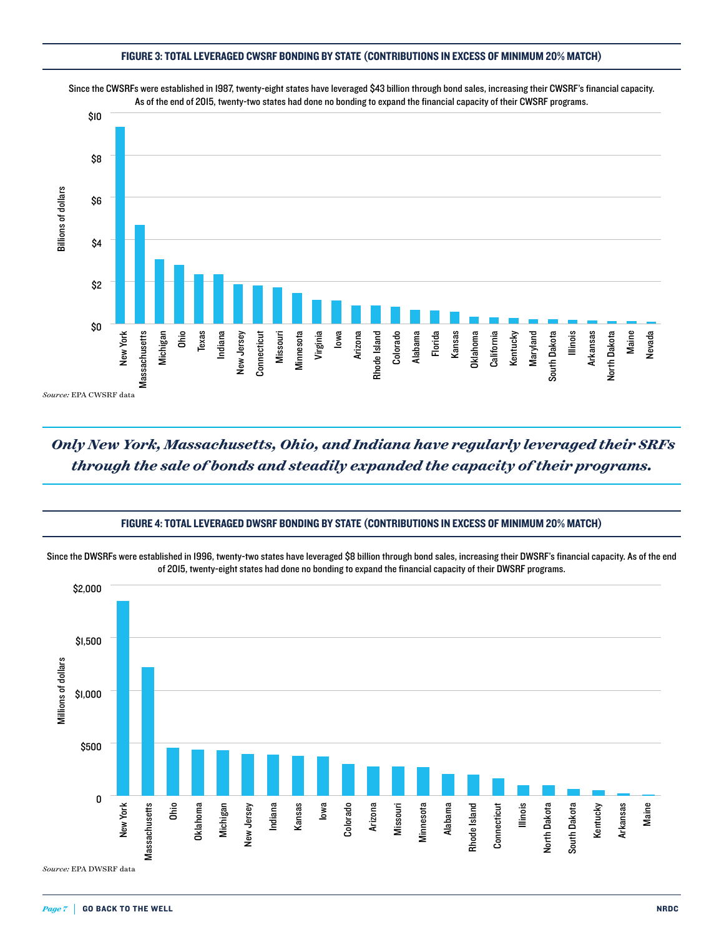#### FIGURE 3: TOTAL LEVERAGED CWSRF BONDING BY STATE (CONTRIBUTIONS IN EXCESS OF MINIMUM 20% MATCH)



.<br>Since the CWSRFs were established in 1987, twenty-eight states have leveraged \$43 billion through bond sales, increasing their CWSRF's financial capacity. As of the end of 2015, twenty-two states had done no bonding to expand the financial capacity of their CWSRF programs.

# *Only New York, Massachusetts, Ohio, and Indiana have regularly leveraged their SRFs through the sale of bonds and steadily expanded the capacity of their programs.*

#### FIGURE 4: TOTAL LEVERAGED DWSRF BONDING BY STATE (CONTRIBUTIONS IN EXCESS OF MINIMUM 20% MATCH)

Since the DWSRFs were established in 1996, twenty-two states have leveraged \$8 billion through bond sales, increasing their DWSRF's financial capacity. As of the end of 2015, twenty-eight states had done no bonding to expand the financial capacity of their DWSRF programs.

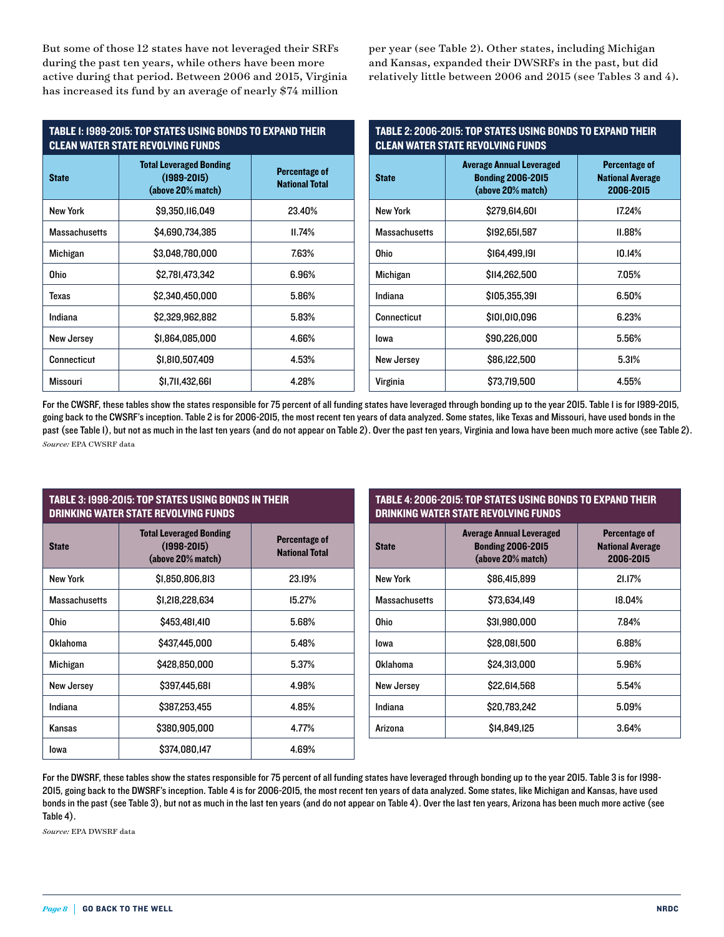But some of those 12 states have not leveraged their SRFs during the past ten years, while others have been more active during that period. Between 2006 and 2015, Virginia has increased its fund by an average of nearly \$74 million

per year (see Table 2). Other states, including Michigan and Kansas, expanded their DWSRFs in the past, but did relatively little between 2006 and 2015 (see Tables 3 and 4).

| <b>TABLE 1: 1989-2015: TOP STATES USING BONDS TO EXPAND THEIR</b><br><b>CLEAN WATER STATE REVOLVING FUNDS</b> |                                                                        |                                               | TABLE 2: 2006-2015: TOP STATES USING BONDS TO EXPAND THEIR<br><b>CLEAN WATER STATE REVOLVING FUNDS</b> |                                                                                  |                                                              |
|---------------------------------------------------------------------------------------------------------------|------------------------------------------------------------------------|-----------------------------------------------|--------------------------------------------------------------------------------------------------------|----------------------------------------------------------------------------------|--------------------------------------------------------------|
| <b>State</b>                                                                                                  | <b>Total Leveraged Bonding</b><br>$(1989 - 2015)$<br>(above 20% match) | <b>Percentage of</b><br><b>National Total</b> | <b>State</b>                                                                                           | <b>Average Annual Leveraged</b><br><b>Bonding 2006-2015</b><br>(above 20% match) | <b>Percentage of</b><br><b>National Average</b><br>2006-2015 |
| <b>New York</b>                                                                                               | \$9,350,116,049                                                        | 23.40%                                        | <b>New York</b>                                                                                        | \$279.614.601                                                                    | 17.24%                                                       |
| <b>Massachusetts</b>                                                                                          | \$4,690,734,385                                                        | 11.74%                                        | <b>Massachusetts</b>                                                                                   | \$192,651,587                                                                    | II.88%                                                       |
| Michigan                                                                                                      | \$3.048.780.000                                                        | 7.63%                                         | <b>Ohio</b>                                                                                            | \$164,499,191                                                                    | 10.14%                                                       |
| <b>Ohio</b>                                                                                                   | \$2,781,473,342                                                        | 6.96%                                         | Michigan                                                                                               | \$114,262,500                                                                    | 7.05%                                                        |
| Texas                                                                                                         | \$2,340,450,000                                                        | 5.86%                                         | Indiana                                                                                                | \$105,355,391                                                                    | 6.50%                                                        |
| Indiana                                                                                                       | \$2,329,962,882                                                        | 5.83%                                         | <b>Connecticut</b>                                                                                     | \$101,010,096                                                                    | 6.23%                                                        |
| New Jersey                                                                                                    | \$1,864,085,000                                                        | 4.66%                                         | lowa                                                                                                   | \$90,226,000                                                                     | 5.56%                                                        |
| <b>Connecticut</b>                                                                                            | \$1,810,507,409                                                        | 4.53%                                         | New Jersey                                                                                             | \$86,122,500                                                                     | 5.31%                                                        |
| <b>Missouri</b>                                                                                               | \$1,711,432,661                                                        | 4.28%                                         | Virginia                                                                                               | \$73,719,500                                                                     | 4.55%                                                        |

For the CWSRF, these tables show the states responsible for 75 percent of all funding states have leveraged through bonding up to the year 2015. Table I is for 1989-2015, going back to the CWSRF's inception. Table 2 is for 2006-2015, the most recent ten years of data analyzed. Some states, like Texas and Missouri, have used bonds in the past (see Table 1), but not as much in the last ten years (and do not appear on Table 2). Over the past ten years, Virginia and Iowa have been much more active (see Table 2). *Source:* EPA CWSRF data

| <b>TABLE 3: 1998-2015: TOP STATES USING BONDS IN THEIR</b> |
|------------------------------------------------------------|
| DRINKING WATER STATE REVOLVING FUNDS                       |

| <b>State</b>         | <b>Total Leveraged Bonding</b><br>$(1998 - 2015)$<br>(above 20% match) | Percentage of<br><b>National Total</b> |
|----------------------|------------------------------------------------------------------------|----------------------------------------|
| New York             | \$1,850,806,813                                                        | 23.19%                                 |
| <b>Massachusetts</b> | \$1,218,228,634                                                        | 15.27%                                 |
| Ohio                 | \$453,481,410                                                          | 5.68%                                  |
| Oklahoma             | \$437,445,000                                                          | 5.48%                                  |
| Michigan             | \$428,850,000                                                          | 5.37%                                  |
| New Jersey           | \$397,445,681                                                          | 4.98%                                  |
| Indiana              | \$387,253,455                                                          | 4.85%                                  |
| Kansas               | \$380,905,000                                                          | 4.77%                                  |
| lowa                 | \$374,080,147                                                          | 4.69%                                  |

| TABLE 4: 2006-2015: TOP STATES USING BONDS TO EXPAND THEIR |
|------------------------------------------------------------|
| DRINKING WATER STATE REVOLVING FUNDS                       |

| <b>State</b>         | <b>Average Annual Leveraged</b><br><b>Bonding 2006-2015</b><br>(above 20% match) | Percentage of<br><b>National Average</b><br>2006-2015 |
|----------------------|----------------------------------------------------------------------------------|-------------------------------------------------------|
| <b>New York</b>      | \$86,415,899                                                                     | 21.17%                                                |
| <b>Massachusetts</b> | \$73,634,149                                                                     | 18.04%                                                |
| Ohio                 | \$31,980,000                                                                     | 7.84%                                                 |
| lowa                 | \$28,081,500                                                                     | 6.88%                                                 |
| Oklahoma             | \$24,313,000                                                                     | 5.96%                                                 |
| <b>New Jersey</b>    | \$22,614,568                                                                     | 5.54%                                                 |
| Indiana              | \$20,783,242                                                                     | 5.09%                                                 |
| Arizona              | \$14,849,125                                                                     | 3.64%                                                 |

For the DWSRF, these tables show the states responsible for 75 percent of all funding states have leveraged through bonding up to the year 2015. Table 3 is for 1998- 2015, going back to the DWSRF's inception. Table 4 is for 2006-2015, the most recent ten years of data analyzed. Some states, like Michigan and Kansas, have used bonds in the past (see Table 3), but not as much in the last ten years (and do not appear on Table 4). Over the last ten years, Arizona has been much more active (see Table 4).

*Source:* EPA DWSRF data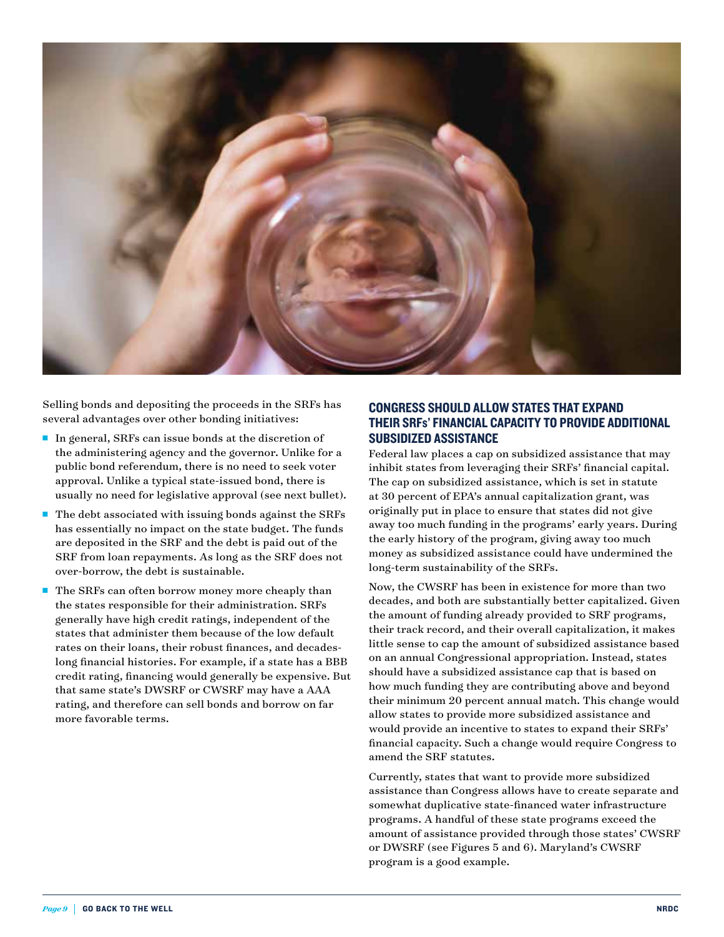

Selling bonds and depositing the proceeds in the SRFs has several advantages over other bonding initiatives:

- $\blacksquare$  In general, SRFs can issue bonds at the discretion of the administering agency and the governor. Unlike for a public bond referendum, there is no need to seek voter approval. Unlike a typical state-issued bond, there is usually no need for legislative approval (see next bullet).
- n The debt associated with issuing bonds against the SRFs has essentially no impact on the state budget. The funds are deposited in the SRF and the debt is paid out of the SRF from loan repayments. As long as the SRF does not over-borrow, the debt is sustainable.
- $\blacksquare$  The SRFs can often borrow money more cheaply than the states responsible for their administration. SRFs generally have high credit ratings, independent of the states that administer them because of the low default rates on their loans, their robust finances, and decadeslong financial histories. For example, if a state has a BBB credit rating, financing would generally be expensive. But that same state's DWSRF or CWSRF may have a AAA rating, and therefore can sell bonds and borrow on far more favorable terms.

## CONGRESS SHOULD ALLOW STATES THAT EXPAND THEIR SRFs' FINANCIAL CAPACITY TO PROVIDE ADDITIONAL SUBSIDIZED ASSISTANCE

Federal law places a cap on subsidized assistance that may inhibit states from leveraging their SRFs' financial capital. The cap on subsidized assistance, which is set in statute at 30 percent of EPA's annual capitalization grant, was originally put in place to ensure that states did not give away too much funding in the programs' early years. During the early history of the program, giving away too much money as subsidized assistance could have undermined the long-term sustainability of the SRFs.

Now, the CWSRF has been in existence for more than two decades, and both are substantially better capitalized. Given the amount of funding already provided to SRF programs, their track record, and their overall capitalization, it makes little sense to cap the amount of subsidized assistance based on an annual Congressional appropriation. Instead, states should have a subsidized assistance cap that is based on how much funding they are contributing above and beyond their minimum 20 percent annual match. This change would allow states to provide more subsidized assistance and would provide an incentive to states to expand their SRFs' financial capacity. Such a change would require Congress to amend the SRF statutes.

Currently, states that want to provide more subsidized assistance than Congress allows have to create separate and somewhat duplicative state-financed water infrastructure programs. A handful of these state programs exceed the amount of assistance provided through those states' CWSRF or DWSRF (see Figures 5 and 6). Maryland's CWSRF program is a good example.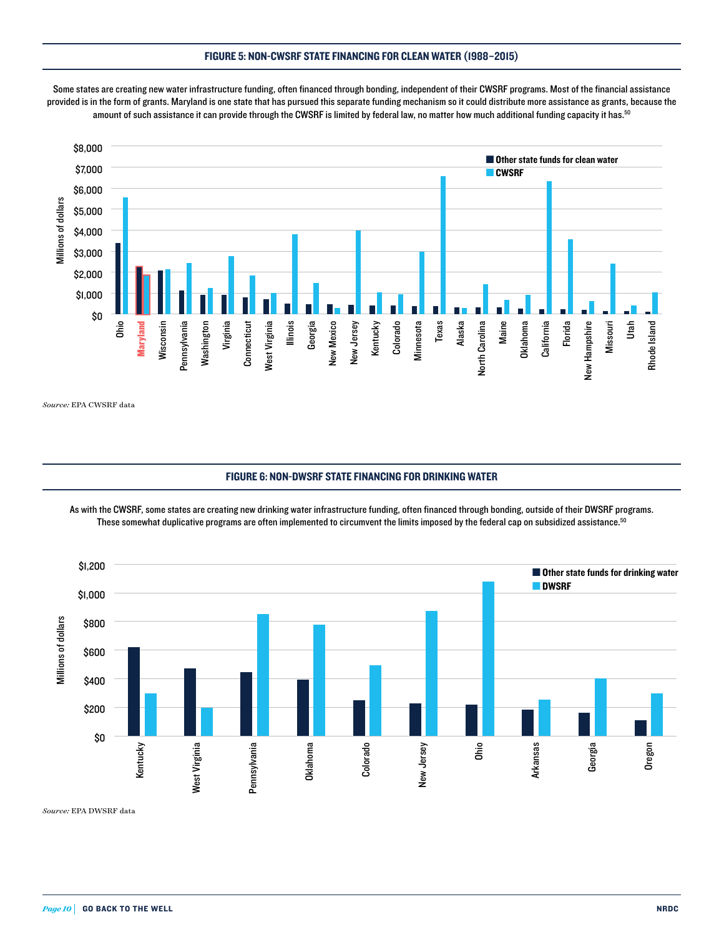#### FIGURE 5: NON-CWSRF STATE FINANCING FOR CLEAN WATER (1988–2015)



Some states are creating new water infrastructure funding, often financed through bonding, independent of their CWSRF programs. Most of the financial assistance provided is in the form of grants. Maryland is one state that has pursued this separate funding mechanism so it could distribute more assistance as grants, because the amount of such assistance it can provide through the CWSRF is limited by federal law, no matter how much additional funding capacity it has.<sup>50</sup>

*Source:* EPA CWSRF data

#### FIGURE 6: NON-DWSRF STATE FINANCING FOR DRINKING WATER

.<br>As with the CWSRF, some states are creating new drinking water infrastructure funding, often financed through bonding, outside of their DWSRF programs. These somewhat duplicative programs are often implemented to circumvent the limits imposed by the federal cap on subsidized assistance.<sup>50</sup>



Source: EPA DWSRF data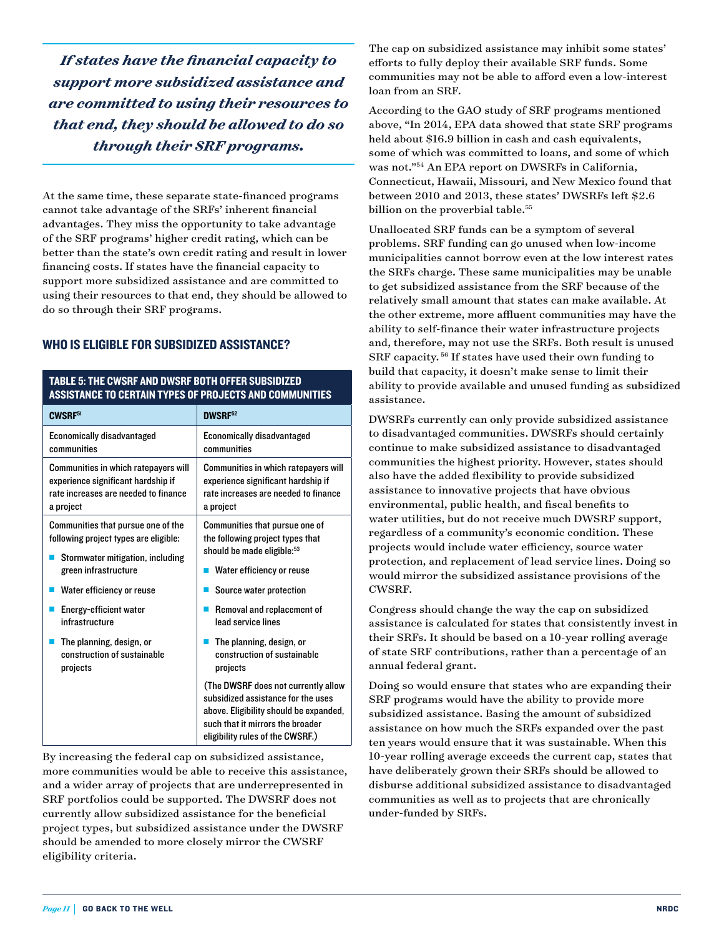*If states have the financial capacity to support more subsidized assistance and are committed to using their resources to that end, they should be allowed to do so through their SRF programs.* 

At the same time, these separate state-financed programs cannot take advantage of the SRFs' inherent financial advantages. They miss the opportunity to take advantage of the SRF programs' higher credit rating, which can be better than the state's own credit rating and result in lower financing costs. If states have the financial capacity to support more subsidized assistance and are committed to using their resources to that end, they should be allowed to do so through their SRF programs.

## WHO IS ELIGIBLE FOR SUBSIDIZED ASSISTANCE?

#### TABLE 5: THE CWSRF AND DWSRF BOTH OFFER SUBSIDIZED ASSISTANCE TO CERTAIN TYPES OF PROJECTS AND COMMUNITIES

| CWSRF <sup>51</sup>                   | <b>DWSRF52</b>                                                                                                                                                                              |  |
|---------------------------------------|---------------------------------------------------------------------------------------------------------------------------------------------------------------------------------------------|--|
| <b>Economically disadvantaged</b>     | <b>Economically disadvantaged</b>                                                                                                                                                           |  |
| communities                           | communities                                                                                                                                                                                 |  |
| Communities in which ratepayers will  | Communities in which ratepayers will                                                                                                                                                        |  |
| experience significant hardship if    | experience significant hardship if                                                                                                                                                          |  |
| rate increases are needed to finance  | rate increases are needed to finance                                                                                                                                                        |  |
| a project                             | a project                                                                                                                                                                                   |  |
| Communities that pursue one of the    | Communities that pursue one of                                                                                                                                                              |  |
| following project types are eligible: | the following project types that                                                                                                                                                            |  |
| Stormwater mitigation, including      | should be made eligible: <sup>53</sup>                                                                                                                                                      |  |
| green infrastructure                  | Water efficiency or reuse                                                                                                                                                                   |  |
| Water efficiency or reuse             | Source water protection                                                                                                                                                                     |  |
| Energy-efficient water                | Removal and replacement of                                                                                                                                                                  |  |
| infrastructure                        | lead service lines                                                                                                                                                                          |  |
| The planning, design, or              | The planning, design, or                                                                                                                                                                    |  |
| construction of sustainable           | construction of sustainable                                                                                                                                                                 |  |
| projects                              | projects                                                                                                                                                                                    |  |
|                                       | (The DWSRF does not currently allow<br>subsidized assistance for the uses<br>above. Eligibility should be expanded,<br>such that it mirrors the broader<br>eligibility rules of the CWSRF.) |  |

By increasing the federal cap on subsidized assistance, more communities would be able to receive this assistance, and a wider array of projects that are underrepresented in SRF portfolios could be supported. The DWSRF does not currently allow subsidized assistance for the beneficial project types, but subsidized assistance under the DWSRF should be amended to more closely mirror the CWSRF eligibility criteria.

The cap on subsidized assistance may inhibit some states' efforts to fully deploy their available SRF funds. Some communities may not be able to afford even a low-interest loan from an SRF.

According to the GAO study of SRF programs mentioned above, "In 2014, EPA data showed that state SRF programs held about \$16.9 billion in cash and cash equivalents, some of which was committed to loans, and some of which was not."54 An EPA report on DWSRFs in California, Connecticut, Hawaii, Missouri, and New Mexico found that between 2010 and 2013, these states' DWSRFs left \$2.6 billion on the proverbial table.<sup>55</sup>

Unallocated SRF funds can be a symptom of several problems. SRF funding can go unused when low-income municipalities cannot borrow even at the low interest rates the SRFs charge. These same municipalities may be unable to get subsidized assistance from the SRF because of the relatively small amount that states can make available. At the other extreme, more affluent communities may have the ability to self-finance their water infrastructure projects and, therefore, may not use the SRFs. Both result is unused SRF capacity. 56 If states have used their own funding to build that capacity, it doesn't make sense to limit their ability to provide available and unused funding as subsidized assistance.

DWSRFs currently can only provide subsidized assistance to disadvantaged communities. DWSRFs should certainly continue to make subsidized assistance to disadvantaged communities the highest priority. However, states should also have the added flexibility to provide subsidized assistance to innovative projects that have obvious environmental, public health, and fiscal benefits to water utilities, but do not receive much DWSRF support, regardless of a community's economic condition. These projects would include water efficiency, source water protection, and replacement of lead service lines. Doing so would mirror the subsidized assistance provisions of the CWSRF.

Congress should change the way the cap on subsidized assistance is calculated for states that consistently invest in their SRFs. It should be based on a 10-year rolling average of state SRF contributions, rather than a percentage of an annual federal grant.

Doing so would ensure that states who are expanding their SRF programs would have the ability to provide more subsidized assistance. Basing the amount of subsidized assistance on how much the SRFs expanded over the past ten years would ensure that it was sustainable. When this 10-year rolling average exceeds the current cap, states that have deliberately grown their SRFs should be allowed to disburse additional subsidized assistance to disadvantaged communities as well as to projects that are chronically under-funded by SRFs.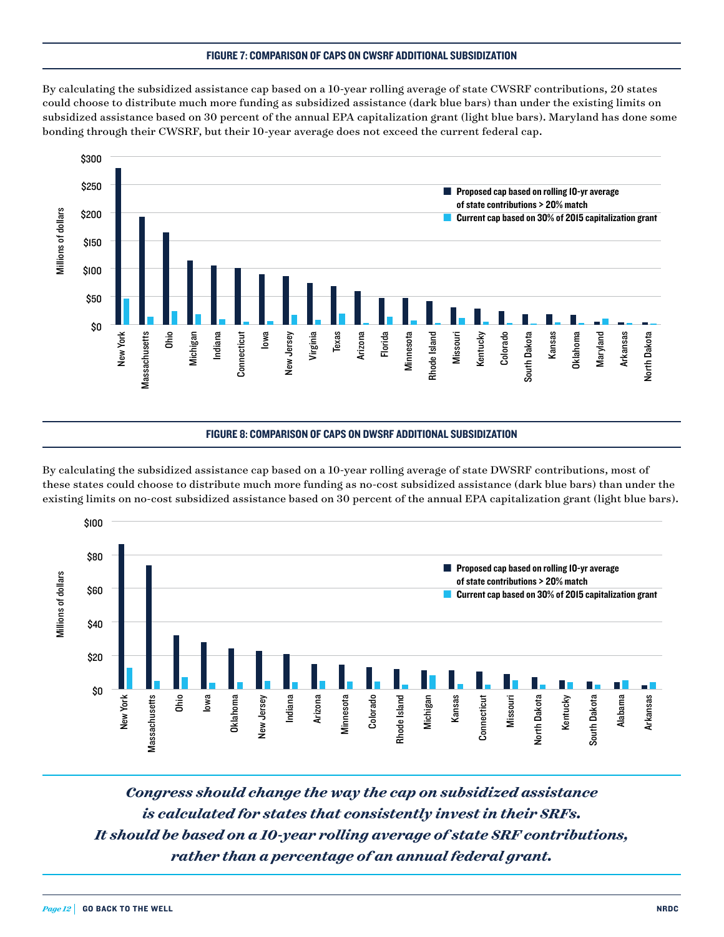#### FIGURE 7: COMPARISON OF CAPS ON CWSRF ADDITIONAL SUBSIDIZATION

By calculating the subsidized assistance cap based on a 10-year rolling average of state CWSRF contributions, 20 states could choose to distribute much more funding as subsidized assistance (dark blue bars) than under the existing limits on subsidized assistance based on 30 percent of the annual EPA capitalization grant (light blue bars). Maryland has done some subsidized assistance based on 50 percent of the annual ETA capitalization grain (nght blue bars).<br>bonding through their CWSRF, but their 10-year average does not exceed the current federal cap.



#### FIGURE 8: COMPARISON OF CAPS ON DWSRF ADDITIONAL SUBSIDIZATION

.<br>By calculating the subsidized assistance cap based on a 10-year rolling average of state DWSRF contributions, most of these states could choose to distribute much more funding as no-cost subsidized assistance (dark blue bars) than under the contributions of the contributions of the contributions of the contributions of the contributions o existing limits on no-cost subsidized assistance based on 30 percent of the annual EPA capitalization grant (light blue bars).



*Congress should change the way the cap on subsidized assistance is calculated for states that consistently invest in their SRFs. It should be based on a 10-year rolling average of state SRF contributions, rather than a percentage of an annual federal grant.*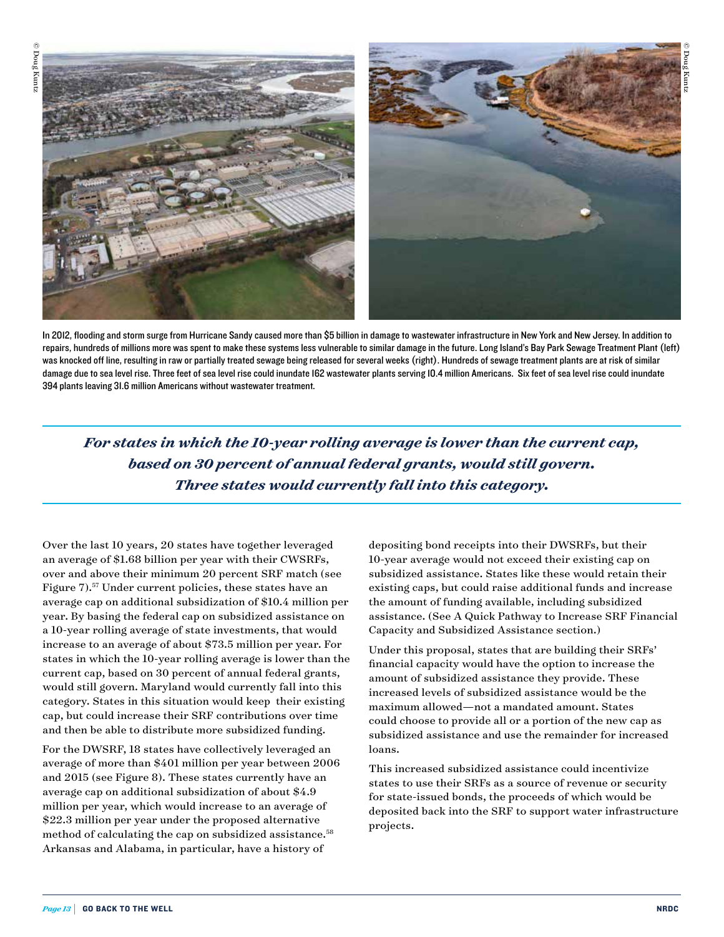



In 2012, flooding and storm surge from Hurricane Sandy caused more than \$5 billion in damage to wastewater infrastructure in New York and New Jersey. In addition to repairs, hundreds of millions more was spent to make these systems less vulnerable to similar damage in the future. Long Island's Bay Park Sewage Treatment Plant (left) was knocked off line, resulting in raw or partially treated sewage being released for several weeks (right). Hundreds of sewage treatment plants are at risk of similar damage due to sea level rise. Three feet of sea level rise could inundate 162 wastewater plants serving 10.4 million Americans. Six feet of sea level rise could inundate 394 plants leaving 31.6 million Americans without wastewater treatment.

*For states in which the 10-year rolling average is lower than the current cap, based on 30 percent of annual federal grants, would still govern. Three states would currently fall into this category.* 

Over the last 10 years, 20 states have together leveraged an average of \$1.68 billion per year with their CWSRFs, over and above their minimum 20 percent SRF match (see Figure 7).57 Under current policies, these states have an average cap on additional subsidization of \$10.4 million per year. By basing the federal cap on subsidized assistance on a 10-year rolling average of state investments, that would increase to an average of about \$73.5 million per year. For states in which the 10-year rolling average is lower than the current cap, based on 30 percent of annual federal grants, would still govern. Maryland would currently fall into this category. States in this situation would keep their existing cap, but could increase their SRF contributions over time and then be able to distribute more subsidized funding.

For the DWSRF, 18 states have collectively leveraged an average of more than \$401 million per year between 2006 and 2015 (see Figure 8). These states currently have an average cap on additional subsidization of about \$4.9 million per year, which would increase to an average of \$22.3 million per year under the proposed alternative method of calculating the cap on subsidized assistance.<sup>58</sup> Arkansas and Alabama, in particular, have a history of

depositing bond receipts into their DWSRFs, but their 10-year average would not exceed their existing cap on subsidized assistance. States like these would retain their existing caps, but could raise additional funds and increase the amount of funding available, including subsidized assistance. (See A Quick Pathway to Increase SRF Financial Capacity and Subsidized Assistance section.)

Under this proposal, states that are building their SRFs' financial capacity would have the option to increase the amount of subsidized assistance they provide. These increased levels of subsidized assistance would be the maximum allowed—not a mandated amount. States could choose to provide all or a portion of the new cap as subsidized assistance and use the remainder for increased loans.

This increased subsidized assistance could incentivize states to use their SRFs as a source of revenue or security for state-issued bonds, the proceeds of which would be deposited back into the SRF to support water infrastructure projects.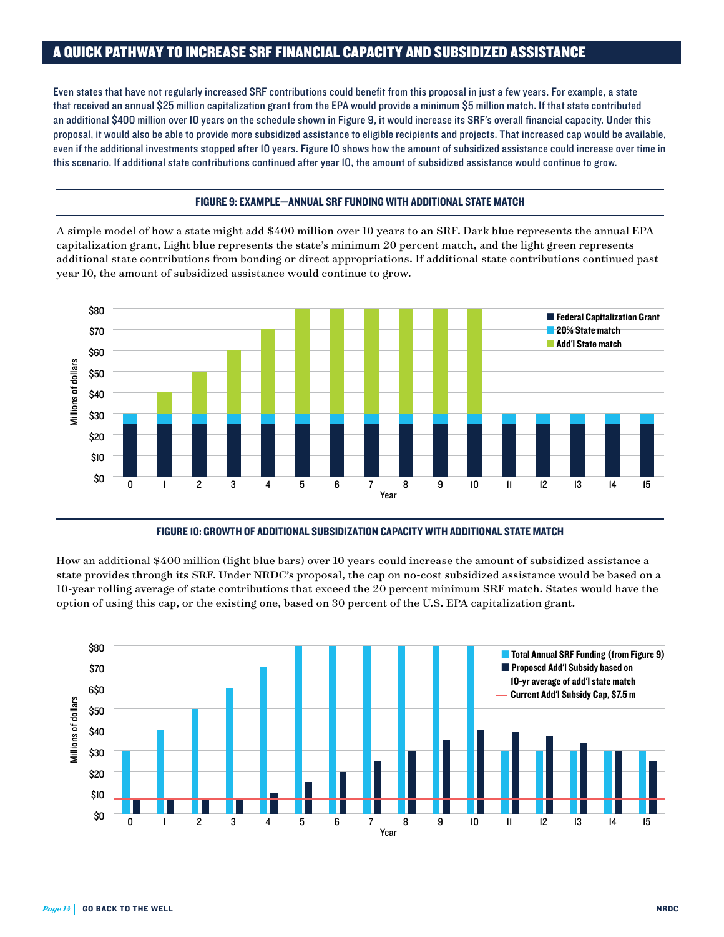## A QUICK PATHWAY TO INCREASE SRF FINANCIAL CAPACITY AND SUBSIDIZED ASSISTANCE

Even states that have not regularly increased SRF contributions could benefit from this proposal in just a few years. For example, a state that received an annual \$25 million capitalization grant from the EPA would provide a minimum \$5 million match. If that state contributed an additional \$400 million over 10 years on the schedule shown in Figure 9, it would increase its SRF's overall financial capacity. Under this proposal, it would also be able to provide more subsidized assistance to eligible recipients and projects. That increased cap would be available, even if the additional investments stopped after 10 years. Figure 10 shows how the amount of subsidized assistance could increase over time in this scenario. If additional state contributions continued after year 10, the amount of subsidized assistance would continue to grow.

#### FIGURE 9: EXAMPLE—ANNUAL SRF FUNDING WITH ADDITIONAL STATE MATCH

A simple model of how a state might add \$400 million over 10 years to an SRF. Dark blue represents the annual EPA capitalization grant, Light blue represents the state's minimum 20 percent match, and the light green represents additional state contributions from bonding or direct appropriations. If additional state contributions continued past year 10, the amount of subsidized assistance would continue to grow.



FIGURE 10: GROWTH OF ADDITIONAL SUBSIDIZATION CAPACITY WITH ADDITIONAL STATE MATCH

How an additional \$400 million (light blue bars) over 10 years could increase the amount of subsidized assistance a state provides through its SRF. Under NRDC's proposal, the cap on no-cost subsidized assistance would be based on a 10-year rolling average of state contributions that exceed the 20 percent minimum SRF match. States would have the option of using this cap, or the existing one, based on 30 percent of the U.S. EPA capitalization grant.

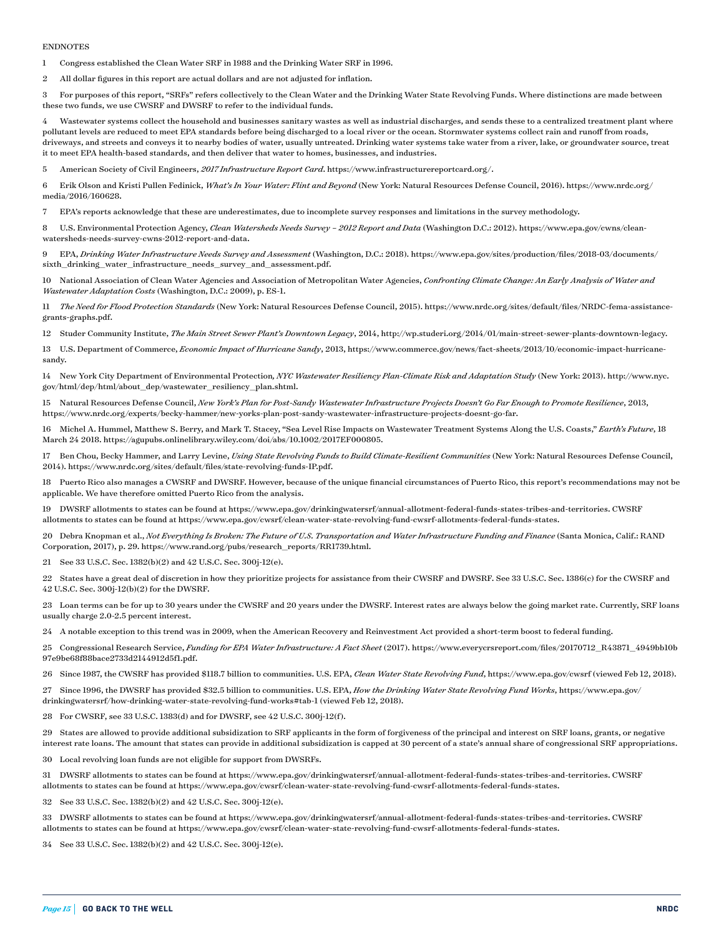#### ENDNOTES

1 Congress established the Clean Water SRF in 1988 and the Drinking Water SRF in 1996.

2 All dollar figures in this report are actual dollars and are not adjusted for inflation.

3 For purposes of this report, "SRFs" refers collectively to the Clean Water and the Drinking Water State Revolving Funds. Where distinctions are made between these two funds, we use CWSRF and DWSRF to refer to the individual funds.

4 Wastewater systems collect the household and businesses sanitary wastes as well as industrial discharges, and sends these to a centralized treatment plant where pollutant levels are reduced to meet EPA standards before being discharged to a local river or the ocean. Stormwater systems collect rain and runoff from roads, driveways, and streets and conveys it to nearby bodies of water, usually untreated. Drinking water systems take water from a river, lake, or groundwater source, treat it to meet EPA health-based standards, and then deliver that water to homes, businesses, and industries.

5 American Society of Civil Engineers, *2017 Infrastructure Report Card*. [https://www.infrastructurereportcard.org/.](https://www.infrastructurereportcard.org/)

6 Erik Olson and Kristi Pullen Fedinick, *What's In Your Water: Flint and Beyond* (New York: Natural Resources Defense Council, 2016). [https://www.nrdc.org/](https://www.nrdc.org/media/2016/160628) [media/2016/160628](https://www.nrdc.org/media/2016/160628).

7 EPA's reports acknowledge that these are underestimates, due to incomplete survey responses and limitations in the survey methodology.

8 U.S. Environmental Protection Agency, *Clean Watersheds Needs Survey – 2012 Report and Data* (Washington D.C.: 2012). [https://www.epa.gov/cwns/clean](https://www.epa.gov/cwns/clean-watersheds-needs-survey-cwns-2012-report-and-data)[watersheds-needs-survey-cwns-2012-report-and-data](https://www.epa.gov/cwns/clean-watersheds-needs-survey-cwns-2012-report-and-data).

9 EPA, *Drinking Water Infrastructure Needs Survey and Assessment* (Washington, D.C.: 2018). [https://www.epa.gov/sites/production/files/2018-03/documents/](https://www.epa.gov/sites/production/files/2018-03/documents/sixth_drinking_water_infrastructure_needs_survey_and_assessment.pdf) [sixth\\_drinking\\_water\\_infrastructure\\_needs\\_survey\\_and\\_assessment.pdf](https://www.epa.gov/sites/production/files/2018-03/documents/sixth_drinking_water_infrastructure_needs_survey_and_assessment.pdf).

10 National Association of Clean Water Agencies and Association of Metropolitan Water Agencies, *Confronting Climate Change: An Early Analysis of Water and Wastewater Adaptation Costs* (Washington, D.C.: 2009), p. ES-1.

11 *The Need for Flood Protection Standards* (New York: Natural Resources Defense Council, 2015). [https://www.nrdc.org/sites/default/files/NRDC-fema-assistance](https://www.nrdc.org/sites/default/files/NRDC-fema-assistance-grants-graphs.pdf)[grants-graphs.pdf](https://www.nrdc.org/sites/default/files/NRDC-fema-assistance-grants-graphs.pdf).

12 Studer Community Institute, *The Main Street Sewer Plant's Downtown Legacy*, 2014, [http://wp.studeri.org/2014/01/main-street-sewer-plants-downtown-legacy.](http://wp.studeri.org/2014/01/main-street-sewer-plants-downtown-legacy/)

13 U.S. Department of Commerce, *Economic Impact of Hurricane Sandy*, 2013, https://www.commerce.gov/news/fact-sheets/2013/10/economic-impact-hurricanesandy.

14 New York City Department of Environmental Protection*, NYC Wastewater Resiliency Plan-Climate Risk and Adaptation Study* (New York: 2013). [http://www.nyc.](http://www.nyc.gov/html/dep/html/about_dep/wastewater_resiliency_plan.shtml) [gov/html/dep/html/about\\_dep/wastewater\\_resiliency\\_plan.shtml](http://www.nyc.gov/html/dep/html/about_dep/wastewater_resiliency_plan.shtml).

15 Natural Resources Defense Council, *New York's Plan for Post-Sandy Wastewater Infrastructure Projects Doesn't Go Far Enough to Promote Resilience*, 2013, <https://www.nrdc.org/experts/becky-hammer/new-yorks-plan-post-sandy-wastewater-infrastructure-projects-doesnt-go-far>.

16 Michel A. Hummel, Matthew S. Berry, and Mark T. Stacey, "Sea Level Rise Impacts on Wastewater Treatment Systems Along the U.S. Coasts," *Earth's Future*, 18 March 24 2018. <https://agupubs.onlinelibrary.wiley.com/doi/abs/10.1002/2017EF000805>.

17 Ben Chou, Becky Hammer, and Larry Levine, *Using State Revolving Funds to Build Climate-Resilient Communities* (New York: Natural Resources Defense Council, 2014). [https://www.nrdc.org/sites/default/files/state-revolving-funds-IP.pdf.](https://www.nrdc.org/sites/default/files/state-revolving-funds-IP.pdf)

18 Puerto Rico also manages a CWSRF and DWSRF. However, because of the unique financial circumstances of Puerto Rico, this report's recommendations may not be applicable. We have therefore omitted Puerto Rico from the analysis.

19 DWSRF allotments to states can be found at<https://www.epa.gov/drinkingwatersrf/annual-allotment-federal-funds-states-tribes-and-territories>. CWSRF allotments to states can be found at <https://www.epa.gov/cwsrf/clean-water-state-revolving-fund-cwsrf-allotments-federal-funds-states>.

20 Debra Knopman et al., *Not Everything Is Broken: The Future of U.S. Transportation and Water Infrastructure Funding and Finance* (Santa Monica, Calif.: RAND Corporation, 2017), p. 29. https://www.rand.org/pubs/research\_reports/RR1739.html.

21 See 33 U.S.C. Sec. 1382(b)(2) and 42 U.S.C. Sec. 300j-12(e).

22 States have a great deal of discretion in how they prioritize projects for assistance from their CWSRF and DWSRF. See 33 U.S.C. Sec. 1386(c) for the CWSRF and 42 U.S.C. Sec. 300j-12(b)(2) for the DWSRF.

23 Loan terms can be for up to 30 years under the CWSRF and 20 years under the DWSRF. Interest rates are always below the going market rate. Currently, SRF loans usually charge 2.0-2.5 percent interest.

24 A notable exception to this trend was in 2009, when the American Recovery and Reinvestment Act provided a short-term boost to federal funding.

25 Congressional Research Service, *Funding for EPA Water Infrastructure: A Fact Sheet* (2017). https://www.everycrsreport.com/files/20170712\_R43871\_4949bb10b 97e9be68f88bace2733d2144912d5f1.pdf.

26 Since 1987, the CWSRF has provided \$118.7 billion to communities. U.S. EPA, *Clean Water State Revolving Fund*, <https://www.epa.gov/cwsrf>(viewed Feb 12, 2018).

27 Since 1996, the DWSRF has provided \$32.5 billion to communities. U.S. EPA, *How the Drinking Water State Revolving Fund Works*, [https://www.epa.gov/](https://www.epa.gov/drinkingwatersrf/how-drinking-water-state-revolving-fund-works#tab-1)

[drinkingwatersrf/how-drinking-water-state-revolving-fund-works#tab-1](https://www.epa.gov/drinkingwatersrf/how-drinking-water-state-revolving-fund-works#tab-1) (viewed Feb 12, 2018).

28 For CWSRF, see 33 U.S.C. 1383(d) and for DWSRF, see 42 U.S.C. 300j-12(f).

29 States are allowed to provide additional subsidization to SRF applicants in the form of forgiveness of the principal and interest on SRF loans, grants, or negative interest rate loans. The amount that states can provide in additional subsidization is capped at 30 percent of a state's annual share of congressional SRF appropriations.

30 Local revolving loan funds are not eligible for support from DWSRFs.

31 DWSRF allotments to states can be found at<https://www.epa.gov/drinkingwatersrf/annual-allotment-federal-funds-states-tribes-and-territories>. CWSRF allotments to states can be found at <https://www.epa.gov/cwsrf/clean-water-state-revolving-fund-cwsrf-allotments-federal-funds-states>.

32 See 33 U.S.C. Sec. 1382(b)(2) and 42 U.S.C. Sec. 300j-12(e).

33 DWSRF allotments to states can be found at<https://www.epa.gov/drinkingwatersrf/annual-allotment-federal-funds-states-tribes-and-territories>. CWSRF allotments to states can be found at <https://www.epa.gov/cwsrf/clean-water-state-revolving-fund-cwsrf-allotments-federal-funds-states>.

34 See 33 U.S.C. Sec. 1382(b)(2) and 42 U.S.C. Sec. 300j-12(e).